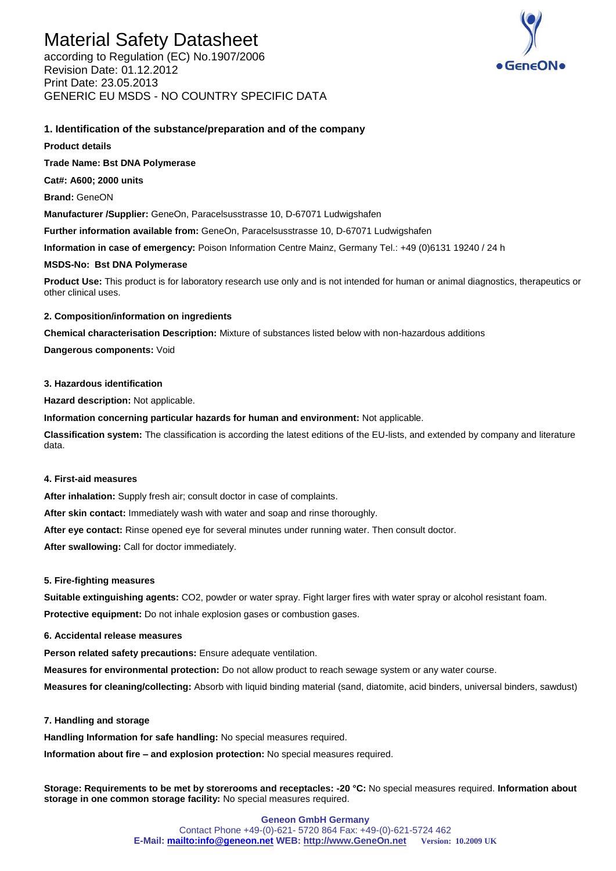# Material Safety Datasheet

according to Regulation (EC) No.1907/2006 Revision Date: 01.12.2012 Print Date: 23.05.2013 GENERIC EU MSDS - NO COUNTRY SPECIFIC DATA



# **1. Identification of the substance/preparation and of the company**

**Product details** 

**Trade Name: Bst DNA Polymerase**

**Cat#: A600; 2000 units**

**Brand:** GeneON

**Manufacturer /Supplier:** GeneOn, Paracelsusstrasse 10, D-67071 Ludwigshafen

**Further information available from:** GeneOn, Paracelsusstrasse 10, D-67071 Ludwigshafen

**Information in case of emergency:** Poison Information Centre Mainz, Germany Tel.: +49 (0)6131 19240 / 24 h

## **MSDS-No: Bst DNA Polymerase**

**Product Use:** This product is for laboratory research use only and is not intended for human or animal diagnostics, therapeutics or other clinical uses.

# **2. Composition/information on ingredients**

**Chemical characterisation Description:** Mixture of substances listed below with non-hazardous additions

**Dangerous components:** Void

# **3. Hazardous identification**

**Hazard description:** Not applicable.

**Information concerning particular hazards for human and environment:** Not applicable.

**Classification system:** The classification is according the latest editions of the EU-lists, and extended by company and literature data.

# **4. First-aid measures**

**After inhalation:** Supply fresh air; consult doctor in case of complaints.

**After skin contact:** Immediately wash with water and soap and rinse thoroughly.

**After eye contact:** Rinse opened eye for several minutes under running water. Then consult doctor.

After swallowing: Call for doctor immediately.

## **5. Fire-fighting measures**

**Suitable extinguishing agents:** CO2, powder or water spray. Fight larger fires with water spray or alcohol resistant foam. **Protective equipment:** Do not inhale explosion gases or combustion gases.

# **6. Accidental release measures**

**Person related safety precautions:** Ensure adequate ventilation.

**Measures for environmental protection:** Do not allow product to reach sewage system or any water course.

**Measures for cleaning/collecting:** Absorb with liquid binding material (sand, diatomite, acid binders, universal binders, sawdust)

## **7. Handling and storage**

**Handling Information for safe handling:** No special measures required.

**Information about fire – and explosion protection:** No special measures required.

**Storage: Requirements to be met by storerooms and receptacles: -20 °C:** No special measures required. **Information about storage in one common storage facility:** No special measures required.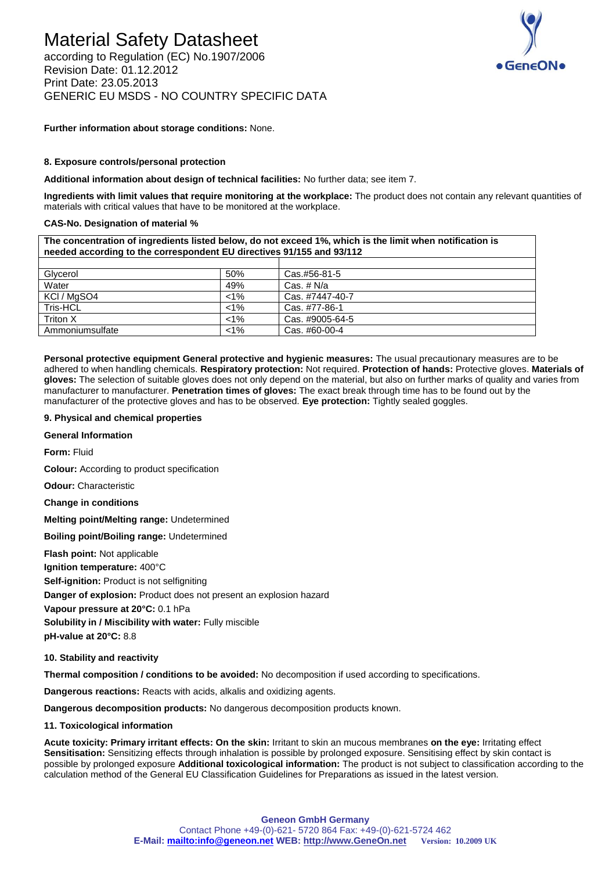# Material Safety Datasheet

according to Regulation (EC) No.1907/2006 Revision Date: 01.12.2012 Print Date: 23.05.2013 GENERIC EU MSDS - NO COUNTRY SPECIFIC DATA



**Further information about storage conditions:** None.

#### **8. Exposure controls/personal protection**

**Additional information about design of technical facilities:** No further data; see item 7.

Triton X **Triton X** Cas. #9005-64-5 Ammoniumsulfate <1% Cas. #60-00-4

**Ingredients with limit values that require monitoring at the workplace:** The product does not contain any relevant quantities of materials with critical values that have to be monitored at the workplace.

#### **CAS-No. Designation of material %**

**The concentration of ingredients listed below, do not exceed 1%, which is the limit when notification is needed according to the correspondent EU directives 91/155 and 93/112** Glycerol 60% Cas.#56-81-50% Cas.#56-81-50% Cas.#56-81-50% Cas.#66-81-50% Cas.#00-81-50% Cas.# N/a Cas. # N/a KCl / MgSO4  $\vert$  <1%  $\vert$  Cas. #7447-40-7 Tris-HCL <1% Cas. #77-86-1

**Personal protective equipment General protective and hygienic measures:** The usual precautionary measures are to be adhered to when handling chemicals. **Respiratory protection:** Not required. **Protection of hands:** Protective gloves. **Materials of gloves:** The selection of suitable gloves does not only depend on the material, but also on further marks of quality and varies from manufacturer to manufacturer. **Penetration times of gloves:** The exact break through time has to be found out by the manufacturer of the protective gloves and has to be observed. **Eye protection:** Tightly sealed goggles.

#### **9. Physical and chemical properties**

**General Information** 

**Form:** Fluid

**Colour:** According to product specification

**Odour:** Characteristic

**Change in conditions** 

**Melting point/Melting range:** Undetermined

**Boiling point/Boiling range:** Undetermined

**Flash point:** Not applicable

**Ignition temperature:** 400°C

**Self-ignition:** Product is not selfigniting

**Danger of explosion:** Product does not present an explosion hazard

**Vapour pressure at 20°C:** 0.1 hPa

**Solubility in / Miscibility with water:** Fully miscible

**pH-value at 20°C:** 8.8

**10. Stability and reactivity** 

**Thermal composition / conditions to be avoided:** No decomposition if used according to specifications.

**Dangerous reactions:** Reacts with acids, alkalis and oxidizing agents.

**Dangerous decomposition products:** No dangerous decomposition products known.

#### **11. Toxicological information**

**Acute toxicity: Primary irritant effects: On the skin:** Irritant to skin an mucous membranes **on the eye:** Irritating effect Sensitisation: Sensitizing effects through inhalation is possible by prolonged exposure. Sensitising effect by skin contact is possible by prolonged exposure **Additional toxicological information:** The product is not subject to classification according to the calculation method of the General EU Classification Guidelines for Preparations as issued in the latest version.